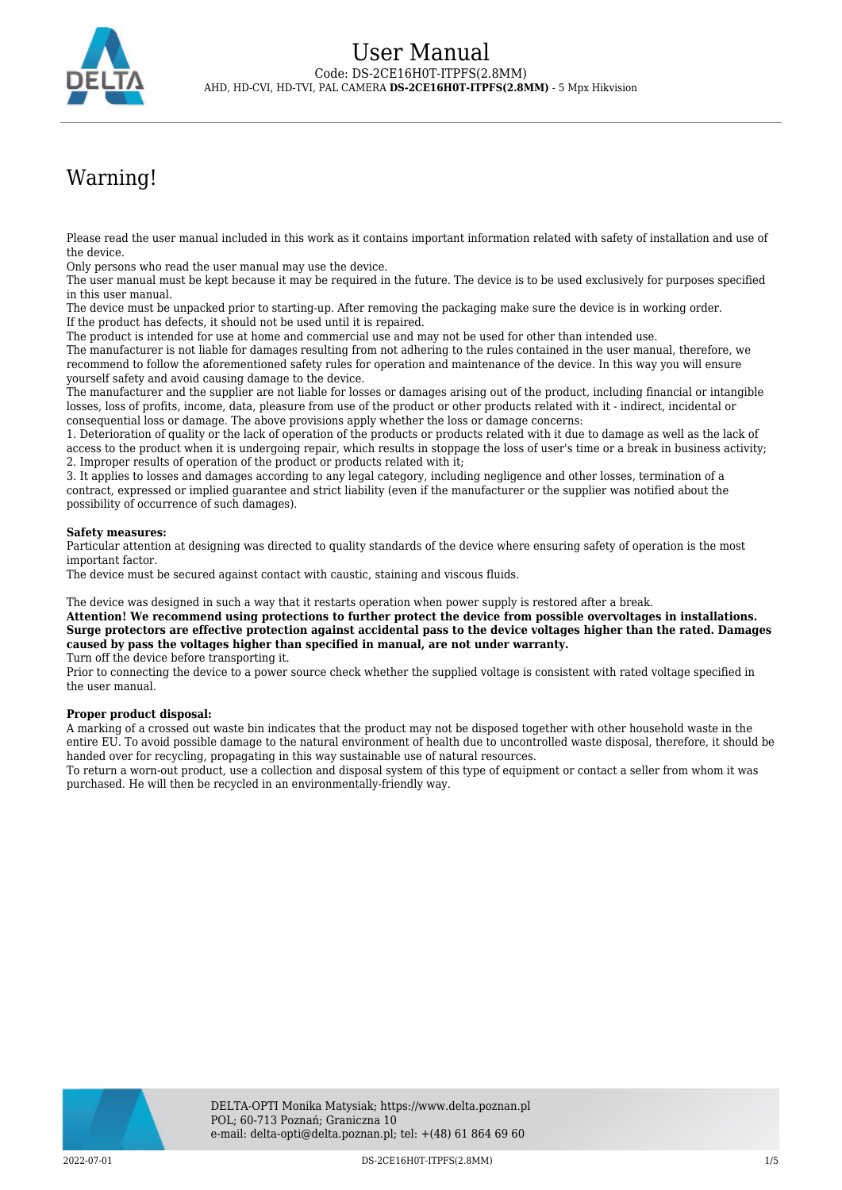

# Warning!

Please read the user manual included in this work as it contains important information related with safety of installation and use of the device.

Only persons who read the user manual may use the device.

The user manual must be kept because it may be required in the future. The device is to be used exclusively for purposes specified in this user manual.

The device must be unpacked prior to starting-up. After removing the packaging make sure the device is in working order. If the product has defects, it should not be used until it is repaired.

The product is intended for use at home and commercial use and may not be used for other than intended use.

The manufacturer is not liable for damages resulting from not adhering to the rules contained in the user manual, therefore, we recommend to follow the aforementioned safety rules for operation and maintenance of the device. In this way you will ensure yourself safety and avoid causing damage to the device.

The manufacturer and the supplier are not liable for losses or damages arising out of the product, including financial or intangible losses, loss of profits, income, data, pleasure from use of the product or other products related with it - indirect, incidental or consequential loss or damage. The above provisions apply whether the loss or damage concerns:

1. Deterioration of quality or the lack of operation of the products or products related with it due to damage as well as the lack of access to the product when it is undergoing repair, which results in stoppage the loss of user's time or a break in business activity; 2. Improper results of operation of the product or products related with it;

3. It applies to losses and damages according to any legal category, including negligence and other losses, termination of a contract, expressed or implied guarantee and strict liability (even if the manufacturer or the supplier was notified about the possibility of occurrence of such damages).

### **Safety measures:**

Particular attention at designing was directed to quality standards of the device where ensuring safety of operation is the most important factor.

The device must be secured against contact with caustic, staining and viscous fluids.

The device was designed in such a way that it restarts operation when power supply is restored after a break.

**Attention! We recommend using protections to further protect the device from possible overvoltages in installations. Surge protectors are effective protection against accidental pass to the device voltages higher than the rated. Damages caused by pass the voltages higher than specified in manual, are not under warranty.**

Turn off the device before transporting it.

Prior to connecting the device to a power source check whether the supplied voltage is consistent with rated voltage specified in the user manual.

#### **Proper product disposal:**

A marking of a crossed out waste bin indicates that the product may not be disposed together with other household waste in the entire EU. To avoid possible damage to the natural environment of health due to uncontrolled waste disposal, therefore, it should be handed over for recycling, propagating in this way sustainable use of natural resources.

To return a worn-out product, use a collection and disposal system of this type of equipment or contact a seller from whom it was purchased. He will then be recycled in an environmentally-friendly way.

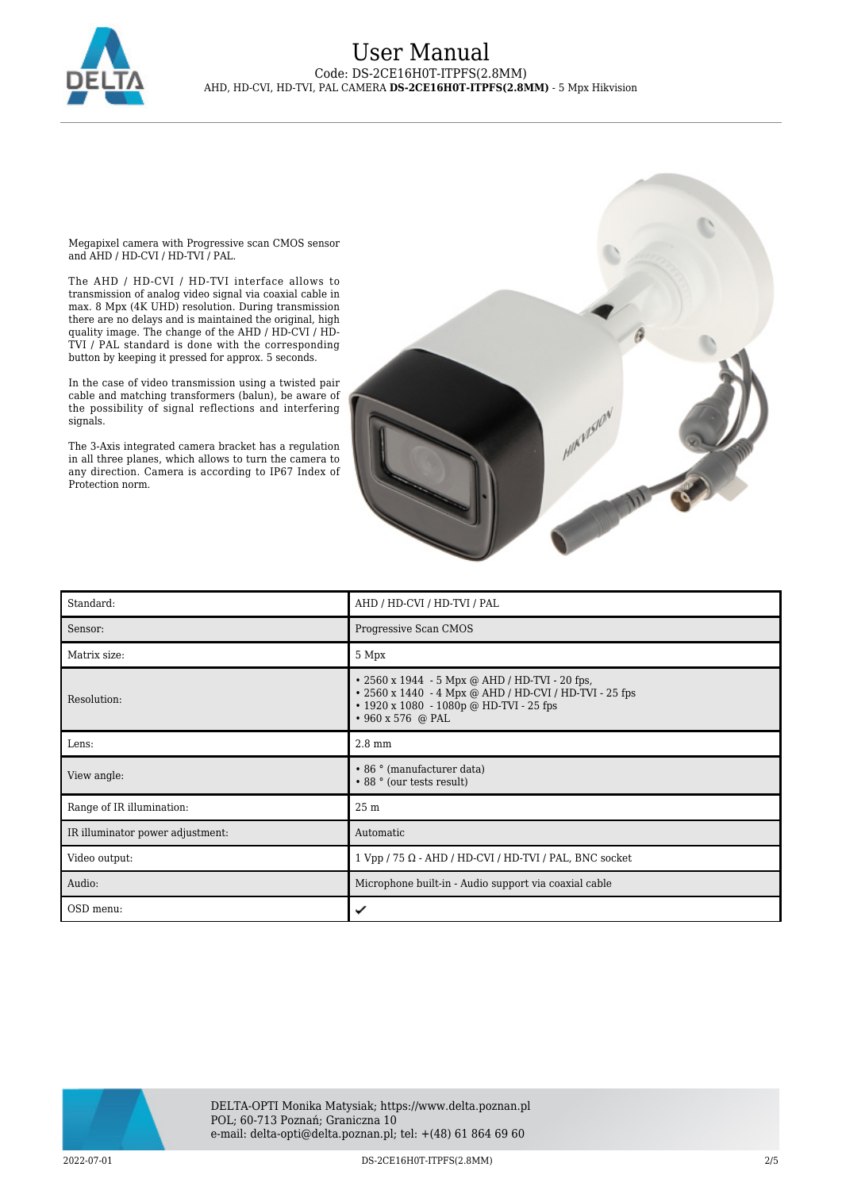

Megapixel camera with Progressive scan CMOS sensor and AHD / HD-CVI / HD-TVI / PAL.

The AHD / HD-CVI / HD-TVI interface allows to transmission of analog video signal via coaxial cable in max. 8 Mpx (4K UHD) resolution. During transmission there are no delays and is maintained the original, high quality image. The change of the AHD / HD-CVI / HD-TVI / PAL standard is done with the corresponding button by keeping it pressed for approx. 5 seconds.

In the case of video transmission using a twisted pair cable and matching transformers (balun), be aware of the possibility of signal reflections and interfering signals.

The 3-Axis integrated camera bracket has a regulation in all three planes, which allows to turn the camera to any direction. Camera is according to IP67 Index of Protection norm.



| Standard:                        | AHD / HD-CVI / HD-TVI / PAL                                                                                                                                                    |
|----------------------------------|--------------------------------------------------------------------------------------------------------------------------------------------------------------------------------|
| Sensor:                          | Progressive Scan CMOS                                                                                                                                                          |
| Matrix size:                     | 5 Mpx                                                                                                                                                                          |
| Resolution:                      | • 2560 x 1944 - 5 Mpx @ AHD / HD-TVI - 20 fps,<br>• 2560 x 1440 - 4 Mpx @ AHD / HD-CVI / HD-TVI - 25 fps<br>$\cdot$ 1920 x 1080 - 1080p @ HD-TVI - 25 fps<br>• 960 x 576 @ PAL |
| Lens:                            | $2.8 \text{ mm}$                                                                                                                                                               |
| View angle:                      | • 86 ° (manufacturer data)<br>• 88 ° (our tests result)                                                                                                                        |
| Range of IR illumination:        | 25 <sub>m</sub>                                                                                                                                                                |
| IR illuminator power adjustment: | Automatic                                                                                                                                                                      |
| Video output:                    | $1 Vpp / 75 \Omega$ - AHD / HD-CVI / HD-TVI / PAL, BNC socket                                                                                                                  |
| Audio:                           | Microphone built-in - Audio support via coaxial cable                                                                                                                          |
| OSD menu:                        | ✓                                                                                                                                                                              |

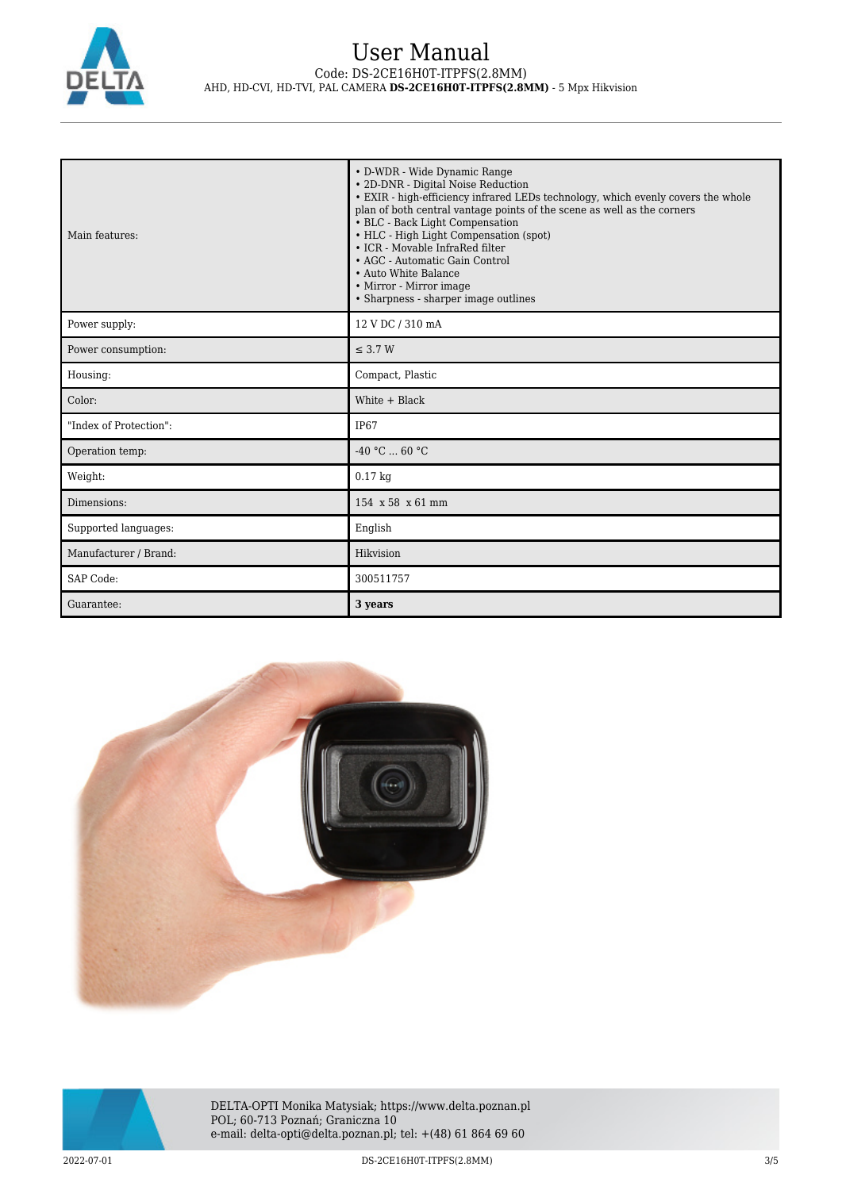

| Main features:         | • D-WDR - Wide Dynamic Range<br>• 2D-DNR - Digital Noise Reduction<br>• EXIR - high-efficiency infrared LEDs technology, which evenly covers the whole<br>plan of both central vantage points of the scene as well as the corners<br>• BLC - Back Light Compensation<br>• HLC - High Light Compensation (spot)<br>• ICR - Movable InfraRed filter<br>• AGC - Automatic Gain Control<br>• Auto White Balance<br>• Mirror - Mirror image<br>• Sharpness - sharper image outlines |
|------------------------|--------------------------------------------------------------------------------------------------------------------------------------------------------------------------------------------------------------------------------------------------------------------------------------------------------------------------------------------------------------------------------------------------------------------------------------------------------------------------------|
| Power supply:          | 12 V DC / 310 mA                                                                                                                                                                                                                                                                                                                                                                                                                                                               |
| Power consumption:     | $\leq$ 3.7 W                                                                                                                                                                                                                                                                                                                                                                                                                                                                   |
| Housing:               | Compact, Plastic                                                                                                                                                                                                                                                                                                                                                                                                                                                               |
| Color:                 | White $+$ Black                                                                                                                                                                                                                                                                                                                                                                                                                                                                |
| "Index of Protection": | IP <sub>67</sub>                                                                                                                                                                                                                                                                                                                                                                                                                                                               |
| Operation temp:        | $-40 °C$ 60 °C                                                                                                                                                                                                                                                                                                                                                                                                                                                                 |
| Weight:                | $0.17$ kg                                                                                                                                                                                                                                                                                                                                                                                                                                                                      |
| Dimensions:            | 154 x 58 x 61 mm                                                                                                                                                                                                                                                                                                                                                                                                                                                               |
| Supported languages:   | English                                                                                                                                                                                                                                                                                                                                                                                                                                                                        |
| Manufacturer / Brand:  | Hikvision                                                                                                                                                                                                                                                                                                                                                                                                                                                                      |
| SAP Code:              | 300511757                                                                                                                                                                                                                                                                                                                                                                                                                                                                      |
| Guarantee:             | 3 years                                                                                                                                                                                                                                                                                                                                                                                                                                                                        |



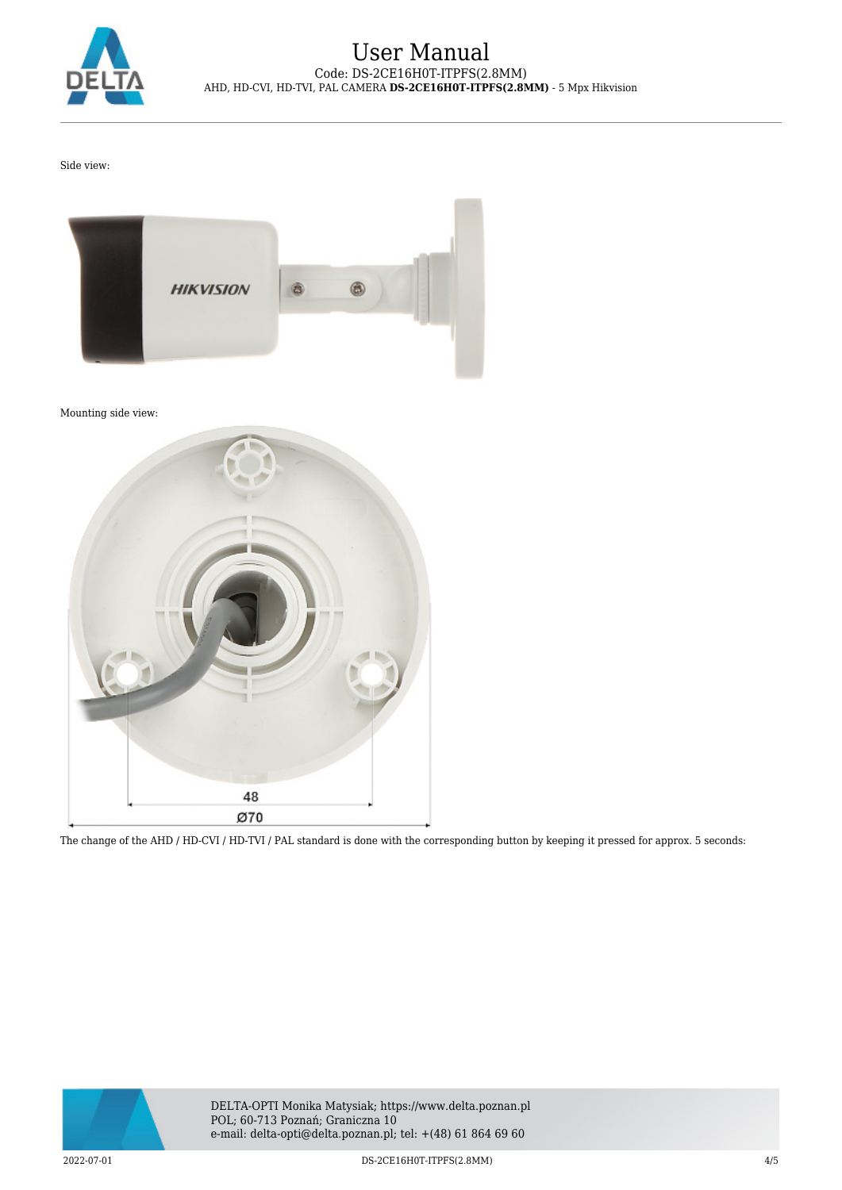

Side view:



Mounting side view:



The change of the AHD / HD-CVI / HD-TVI / PAL standard is done with the corresponding button by keeping it pressed for approx. 5 seconds: